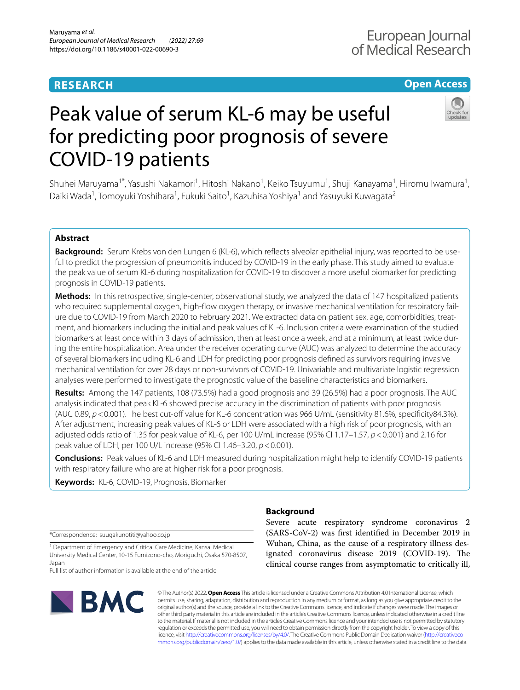# **RESEARCH**

# **Open Access**

# Peak value of serum KL-6 may be useful for predicting poor prognosis of severe COVID-19 patients

Shuhei Maruyama<sup>1\*</sup>, Yasushi Nakamori<sup>1</sup>, Hitoshi Nakano<sup>1</sup>, Keiko Tsuyumu<sup>1</sup>, Shuji Kanayama<sup>1</sup>, Hiromu Iwamura<sup>1</sup>, Daiki Wada<sup>1</sup>, Tomoyuki Yoshihara<sup>1</sup>, Fukuki Saito<sup>1</sup>, Kazuhisa Yoshiya<sup>1</sup> and Yasuyuki Kuwagata<sup>2</sup>

# **Abstract**

**Background:** Serum Krebs von den Lungen 6 (KL-6), which refects alveolar epithelial injury, was reported to be useful to predict the progression of pneumonitis induced by COVID-19 in the early phase. This study aimed to evaluate the peak value of serum KL-6 during hospitalization for COVID-19 to discover a more useful biomarker for predicting prognosis in COVID-19 patients.

**Methods:** In this retrospective, single-center, observational study, we analyzed the data of 147 hospitalized patients who required supplemental oxygen, high-fow oxygen therapy, or invasive mechanical ventilation for respiratory failure due to COVID-19 from March 2020 to February 2021. We extracted data on patient sex, age, comorbidities, treatment, and biomarkers including the initial and peak values of KL-6. Inclusion criteria were examination of the studied biomarkers at least once within 3 days of admission, then at least once a week, and at a minimum, at least twice during the entire hospitalization. Area under the receiver operating curve (AUC) was analyzed to determine the accuracy of several biomarkers including KL-6 and LDH for predicting poor prognosis defned as survivors requiring invasive mechanical ventilation for over 28 days or non-survivors of COVID-19. Univariable and multivariate logistic regression analyses were performed to investigate the prognostic value of the baseline characteristics and biomarkers.

**Results:** Among the 147 patients, 108 (73.5%) had a good prognosis and 39 (26.5%) had a poor prognosis. The AUC analysis indicated that peak KL-6 showed precise accuracy in the discrimination of patients with poor prognosis (AUC 0.89,  $p$  < 0.001). The best cut-off value for KL-6 concentration was 966 U/mL (sensitivity 81.6%, specificity84.3%). After adjustment, increasing peak values of KL-6 or LDH were associated with a high risk of poor prognosis, with an adjusted odds ratio of 1.35 for peak value of KL-6, per 100 U/mL increase (95% CI 1.17–1.57, *p*<0.001) and 2.16 for peak value of LDH, per 100 U/L increase (95% CI 1.46–3.20, *p*<0.001).

**Conclusions:** Peak values of KL-6 and LDH measured during hospitalization might help to identify COVID-19 patients with respiratory failure who are at higher risk for a poor prognosis.

**Keywords:** KL-6, COVID-19, Prognosis, Biomarker

\*Correspondence: suugakunotiti@yahoo.co.jp

<sup>1</sup> Department of Emergency and Critical Care Medicine, Kansai Medical University Medical Center, 10-15 Fumizono-cho, Moriguchi, Osaka 570-8507, Japan

Full list of author information is available at the end of the article



# **Background**

Severe acute respiratory syndrome coronavirus 2 (SARS-CoV-2) was frst identifed in December 2019 in Wuhan, China, as the cause of a respiratory illness designated coronavirus disease 2019 (COVID-19). The clinical course ranges from asymptomatic to critically ill,

© The Author(s) 2022. **Open Access** This article is licensed under a Creative Commons Attribution 4.0 International License, which permits use, sharing, adaptation, distribution and reproduction in any medium or format, as long as you give appropriate credit to the original author(s) and the source, provide a link to the Creative Commons licence, and indicate if changes were made. The images or other third party material in this article are included in the article's Creative Commons licence, unless indicated otherwise in a credit line to the material. If material is not included in the article's Creative Commons licence and your intended use is not permitted by statutory regulation or exceeds the permitted use, you will need to obtain permission directly from the copyright holder. To view a copy of this licence, visit [http://creativecommons.org/licenses/by/4.0/.](http://creativecommons.org/licenses/by/4.0/) The Creative Commons Public Domain Dedication waiver ([http://creativeco](http://creativecommons.org/publicdomain/zero/1.0/) [mmons.org/publicdomain/zero/1.0/](http://creativecommons.org/publicdomain/zero/1.0/)) applies to the data made available in this article, unless otherwise stated in a credit line to the data.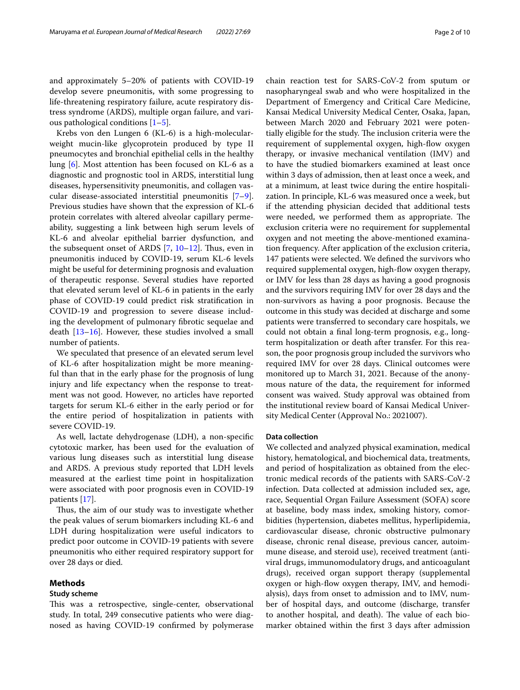and approximately 5–20% of patients with COVID-19 develop severe pneumonitis, with some progressing to life-threatening respiratory failure, acute respiratory distress syndrome (ARDS), multiple organ failure, and various pathological conditions [\[1](#page-8-0)[–5](#page-9-0)].

Krebs von den Lungen 6 (KL-6) is a high-molecularweight mucin-like glycoprotein produced by type II pneumocytes and bronchial epithelial cells in the healthy lung [\[6](#page-9-1)]. Most attention has been focused on KL-6 as a diagnostic and prognostic tool in ARDS, interstitial lung diseases, hypersensitivity pneumonitis, and collagen vascular disease-associated interstitial pneumonitis [\[7](#page-9-2)[–9](#page-9-3)]. Previous studies have shown that the expression of KL-6 protein correlates with altered alveolar capillary permeability, suggesting a link between high serum levels of KL-6 and alveolar epithelial barrier dysfunction, and the subsequent onset of ARDS  $[7, 10-12]$  $[7, 10-12]$  $[7, 10-12]$  $[7, 10-12]$ . Thus, even in pneumonitis induced by COVID-19, serum KL-6 levels might be useful for determining prognosis and evaluation of therapeutic response. Several studies have reported that elevated serum level of KL-6 in patients in the early phase of COVID-19 could predict risk stratifcation in COVID-19 and progression to severe disease including the development of pulmonary fbrotic sequelae and death [[13](#page-9-6)[–16](#page-9-7)]. However, these studies involved a small number of patients.

We speculated that presence of an elevated serum level of KL-6 after hospitalization might be more meaningful than that in the early phase for the prognosis of lung injury and life expectancy when the response to treatment was not good. However, no articles have reported targets for serum KL-6 either in the early period or for the entire period of hospitalization in patients with severe COVID-19.

As well, lactate dehydrogenase (LDH), a non-specifc cytotoxic marker, has been used for the evaluation of various lung diseases such as interstitial lung disease and ARDS. A previous study reported that LDH levels measured at the earliest time point in hospitalization were associated with poor prognosis even in COVID-19 patients [[17\]](#page-9-8).

Thus, the aim of our study was to investigate whether the peak values of serum biomarkers including KL-6 and LDH during hospitalization were useful indicators to predict poor outcome in COVID-19 patients with severe pneumonitis who either required respiratory support for over 28 days or died.

#### **Methods**

# **Study scheme**

This was a retrospective, single-center, observational study. In total, 249 consecutive patients who were diagnosed as having COVID-19 confrmed by polymerase chain reaction test for SARS-CoV-2 from sputum or nasopharyngeal swab and who were hospitalized in the Department of Emergency and Critical Care Medicine, Kansai Medical University Medical Center, Osaka, Japan, between March 2020 and February 2021 were potentially eligible for the study. The inclusion criteria were the requirement of supplemental oxygen, high-fow oxygen therapy, or invasive mechanical ventilation (IMV) and to have the studied biomarkers examined at least once within 3 days of admission, then at least once a week, and at a minimum, at least twice during the entire hospitalization. In principle, KL-6 was measured once a week, but if the attending physician decided that additional tests were needed, we performed them as appropriate. The exclusion criteria were no requirement for supplemental oxygen and not meeting the above-mentioned examination frequency. After application of the exclusion criteria, 147 patients were selected. We defned the survivors who required supplemental oxygen, high-flow oxygen therapy, or IMV for less than 28 days as having a good prognosis and the survivors requiring IMV for over 28 days and the non-survivors as having a poor prognosis. Because the outcome in this study was decided at discharge and some patients were transferred to secondary care hospitals, we could not obtain a fnal long-term prognosis, e.g., longterm hospitalization or death after transfer. For this reason, the poor prognosis group included the survivors who required IMV for over 28 days. Clinical outcomes were monitored up to March 31, 2021. Because of the anonymous nature of the data, the requirement for informed consent was waived. Study approval was obtained from the institutional review board of Kansai Medical University Medical Center (Approval No.: 2021007).

#### **Data collection**

We collected and analyzed physical examination, medical history, hematological, and biochemical data, treatments, and period of hospitalization as obtained from the electronic medical records of the patients with SARS-CoV-2 infection. Data collected at admission included sex, age, race, Sequential Organ Failure Assessment (SOFA) score at baseline, body mass index, smoking history, comorbidities (hypertension, diabetes mellitus, hyperlipidemia, cardiovascular disease, chronic obstructive pulmonary disease, chronic renal disease, previous cancer, autoimmune disease, and steroid use), received treatment (antiviral drugs, immunomodulatory drugs, and anticoagulant drugs), received organ support therapy (supplemental oxygen or high-fow oxygen therapy, IMV, and hemodialysis), days from onset to admission and to IMV, number of hospital days, and outcome (discharge, transfer to another hospital, and death). The value of each biomarker obtained within the frst 3 days after admission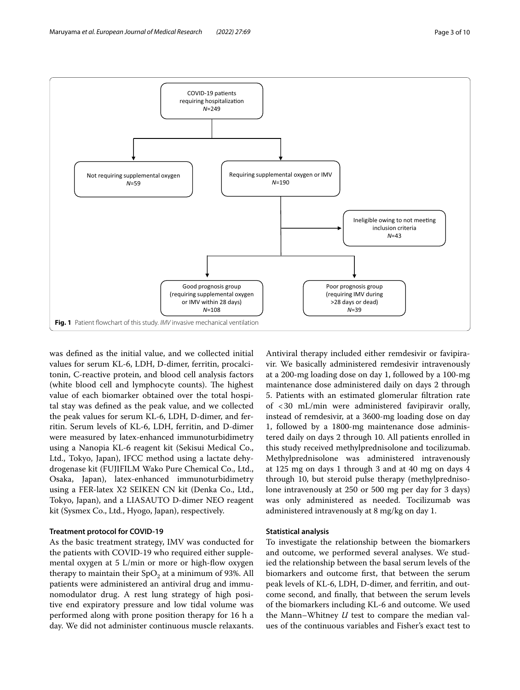

<span id="page-2-0"></span>was defned as the initial value, and we collected initial values for serum KL-6, LDH, D-dimer, ferritin, procalcitonin, C-reactive protein, and blood cell analysis factors (white blood cell and lymphocyte counts). The highest value of each biomarker obtained over the total hospital stay was defned as the peak value, and we collected the peak values for serum KL-6, LDH, D-dimer, and ferritin. Serum levels of KL-6, LDH, ferritin, and D-dimer were measured by latex-enhanced immunoturbidimetry using a Nanopia KL-6 reagent kit (Sekisui Medical Co., Ltd., Tokyo, Japan), IFCC method using a lactate dehydrogenase kit (FUJIFILM Wako Pure Chemical Co., Ltd., Osaka, Japan), latex-enhanced immunoturbidimetry using a FER-latex X2 SEIKEN CN kit (Denka Co., Ltd., Tokyo, Japan), and a LIASAUTO D-dimer NEO reagent kit (Sysmex Co., Ltd., Hyogo, Japan), respectively.

# **Treatment protocol for COVID‑19**

As the basic treatment strategy, IMV was conducted for the patients with COVID-19 who required either supplemental oxygen at  $5$  L/min or more or high-flow oxygen therapy to maintain their  $SpO<sub>2</sub>$  at a minimum of 93%. All patients were administered an antiviral drug and immunomodulator drug. A rest lung strategy of high positive end expiratory pressure and low tidal volume was performed along with prone position therapy for 16 h a day. We did not administer continuous muscle relaxants. Antiviral therapy included either remdesivir or favipiravir. We basically administered remdesivir intravenously at a 200-mg loading dose on day 1, followed by a 100-mg maintenance dose administered daily on days 2 through 5. Patients with an estimated glomerular fltration rate of <30 mL/min were administered favipiravir orally, instead of remdesivir, at a 3600-mg loading dose on day 1, followed by a 1800-mg maintenance dose administered daily on days 2 through 10. All patients enrolled in this study received methylprednisolone and tocilizumab. Methylprednisolone was administered intravenously at 125 mg on days 1 through 3 and at 40 mg on days 4 through 10, but steroid pulse therapy (methylprednisolone intravenously at 250 or 500 mg per day for 3 days) was only administered as needed. Tocilizumab was administered intravenously at 8 mg/kg on day 1.

# **Statistical analysis**

To investigate the relationship between the biomarkers and outcome, we performed several analyses. We studied the relationship between the basal serum levels of the biomarkers and outcome frst, that between the serum peak levels of KL-6, LDH, D-dimer, and ferritin, and outcome second, and fnally, that between the serum levels of the biomarkers including KL-6 and outcome. We used the Mann–Whitney *U* test to compare the median values of the continuous variables and Fisher's exact test to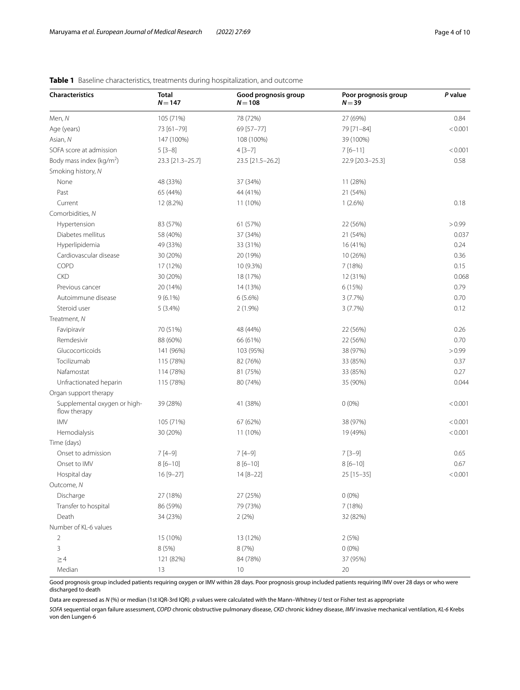| <b>Characteristics</b>                       | <b>Total</b><br>$N = 147$ | Good prognosis group<br>$N = 108$ | Poor prognosis group<br>$N = 39$ | P value |
|----------------------------------------------|---------------------------|-----------------------------------|----------------------------------|---------|
| Men, N                                       | 105 (71%)                 | 78 (72%)                          | 27 (69%)                         | 0.84    |
| Age (years)                                  | 73 [61-79]                | 69 [57-77]                        | 79 [71-84]                       | < 0.001 |
| Asian, N                                     | 147 (100%)                | 108 (100%)                        | 39 (100%)                        |         |
| SOFA score at admission                      | $5[3-8]$                  | $4[3-7]$                          | $7[6-11]$                        | < 0.001 |
| Body mass index (kg/m <sup>2</sup> )         | 23.3 [21.3-25.7]          | 23.5 [21.5-26.2]                  | 22.9 [20.3-25.3]                 | 0.58    |
| Smoking history, N                           |                           |                                   |                                  |         |
| None                                         | 48 (33%)                  | 37 (34%)                          | 11 (28%)                         |         |
| Past                                         | 65 (44%)                  | 44 (41%)                          | 21 (54%)                         |         |
| Current                                      | 12 (8.2%)                 | 11 (10%)                          | $1(2.6\%)$                       | 0.18    |
| Comorbidities, N                             |                           |                                   |                                  |         |
| Hypertension                                 | 83 (57%)                  | 61 (57%)                          | 22 (56%)                         | > 0.99  |
| Diabetes mellitus                            | 58 (40%)                  | 37 (34%)                          | 21 (54%)                         | 0.037   |
| Hyperlipidemia                               | 49 (33%)                  | 33 (31%)                          | 16 (41%)                         | 0.24    |
| Cardiovascular disease                       | 30 (20%)                  | 20 (19%)                          | 10 (26%)                         | 0.36    |
| COPD                                         | 17 (12%)                  | 10 (9.3%)                         | 7 (18%)                          | 0.15    |
| <b>CKD</b>                                   | 30 (20%)                  | 18 (17%)                          | 12 (31%)                         | 0.068   |
| Previous cancer                              | 20 (14%)                  | 14 (13%)                          | 6 (15%)                          | 0.79    |
| Autoimmune disease                           | $9(6.1\%)$                | $6(5.6\%)$                        | 3(7.7%)                          | 0.70    |
| Steroid user                                 | 5(3.4%)                   | $2(1.9\%)$                        | 3(7.7%)                          | 0.12    |
| Treatment, N                                 |                           |                                   |                                  |         |
| Favipiravir                                  | 70 (51%)                  | 48 (44%)                          | 22 (56%)                         | 0.26    |
| Remdesivir                                   | 88 (60%)                  | 66 (61%)                          | 22 (56%)                         | 0.70    |
| Glucocorticoids                              | 141 (96%)                 | 103 (95%)                         | 38 (97%)                         | > 0.99  |
| Tocilizumab                                  | 115 (78%)                 | 82 (76%)                          | 33 (85%)                         | 0.37    |
| Nafamostat                                   | 114 (78%)                 | 81 (75%)                          | 33 (85%)                         | 0.27    |
| Unfractionated heparin                       | 115 (78%)                 | 80 (74%)                          | 35 (90%)                         | 0.044   |
| Organ support therapy                        |                           |                                   |                                  |         |
| Supplemental oxygen or high-<br>flow therapy | 39 (28%)                  | 41 (38%)                          | $0(0\%)$                         | < 0.001 |
| <b>IMV</b>                                   | 105 (71%)                 | 67 (62%)                          | 38 (97%)                         | < 0.001 |
| Hemodialysis                                 | 30 (20%)                  | 11 (10%)                          | 19 (49%)                         | < 0.001 |
| Time (days)                                  |                           |                                   |                                  |         |
| Onset to admission                           | $7[4-9]$                  | $7[4-9]$                          | $7[3-9]$                         | 0.65    |
| Onset to IMV                                 | $8[6 - 10]$               | $8[6 - 10]$                       | $8[6 - 10]$                      | 0.67    |
| Hospital day                                 | 16 [9-27]                 | 14 [8-22]                         | 25 [15-35]                       | < 0.001 |
| Outcome, N                                   |                           |                                   |                                  |         |
| Discharge                                    | 27 (18%)                  | 27 (25%)                          | $0(0\%)$                         |         |
| Transfer to hospital                         | 86 (59%)                  | 79 (73%)                          | 7 (18%)                          |         |
| Death                                        | 34 (23%)                  | 2(2%)                             | 32 (82%)                         |         |
| Number of KL-6 values                        |                           |                                   |                                  |         |
| $\overline{2}$                               | 15 (10%)                  | 13 (12%)                          | 2(5%)                            |         |
| 3                                            | 8 (5%)                    | 8 (7%)                            | $0(0\%)$                         |         |
| $\geq$ 4                                     | 121 (82%)                 | 84 (78%)                          | 37 (95%)                         |         |
| Median                                       | 13                        | 10 <sup>°</sup>                   | $20\,$                           |         |

# <span id="page-3-0"></span>**Table 1** Baseline characteristics, treatments during hospitalization, and outcome

Good prognosis group included patients requiring oxygen or IMV within 28 days. Poor prognosis group included patients requiring IMV over 28 days or who were discharged to death

Data are expressed as *N* (%) or median (1st IQR-3rd IQR). *p* values were calculated with the Mann–Whitney *U* test or Fisher test as appropriate

*SOFA* sequential organ failure assessment, *COPD* chronic obstructive pulmonary disease, *CKD* chronic kidney disease, *IMV* invasive mechanical ventilation, *KL-6* Krebs von den Lungen-6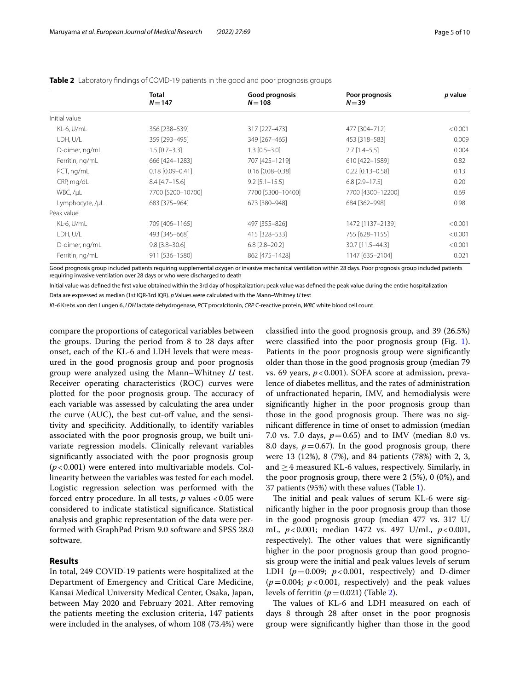|                 | Total<br>$N = 147$ | Good prognosis<br>$N=108$ | Poor prognosis<br>$N = 39$ | p value |
|-----------------|--------------------|---------------------------|----------------------------|---------|
| Initial value   |                    |                           |                            |         |
| KL-6, U/mL      | 356 [238-539]      | 317 [227-473]             | 477 [304-712]              | < 0.001 |
| LDH, U/L        | 359 [293-495]      | 349 [267-465]             | 453 [318-583]              | 0.009   |
| D-dimer, ng/mL  | $1.5$ [0.7-3.3]    | $1.3$ [0.5-3.0]           | $2.7$ [1.4-5.5]            | 0.004   |
| Ferritin, ng/mL | 666 [424-1283]     | 707 [425-1219]            | 610 [422-1589]             | 0.82    |
| PCT, ng/mL      | $0.18$ [0.09-0.41] | $0.16$ [0.08-0.38]        | $0.22$ [0.13-0.58]         | 0.13    |
| CRP, mg/dL      | $8.4$ [4.7-15.6]   | $9.2$ [5.1-15.5]          | $6.8$ [2.9-17.5]           | 0.20    |
| WBC, /µL        | 7700 [5200-10700]  | 7700 [5300-10400]         | 7700 [4300-12200]          | 0.69    |
| Lymphocyte, /µL | 683 [375-964]      | 673 [380-948]             | 684 [362-998]              | 0.98    |
| Peak value      |                    |                           |                            |         |
| KL-6, U/mL      | 709 [406-1165]     | 497 [355-826]             | 1472 [1137-2139]           | < 0.001 |
| LDH, U/L        | 493 [345-668]      | 415 [328-533]             | 755 [628-1155]             | < 0.001 |
| D-dimer, ng/mL  | $9.8$ [3.8-30.6]   | $6.8$ [2.8-20.2]          | 30.7 [11.5-44.3]           | < 0.001 |
| Ferritin, ng/mL | 911 [536-1580]     | 862 [475-1428]            | 1147 [635-2104]            | 0.021   |

<span id="page-4-0"></span>

| Table 2 Laboratory findings of COVID-19 patients in the good and poor prognosis groups |  |  |
|----------------------------------------------------------------------------------------|--|--|
|----------------------------------------------------------------------------------------|--|--|

tients requiring supplemental oxygen or invasive mechanical ventilation within 28 days. Poor prognosis group included patients requiring invasive ventilation over 28 days or who were discharged to death

Initial value was defned the frst value obtained within the 3rd day of hospitalization; peak value was defned the peak value during the entire hospitalization

Data are expressed as median (1st IQR-3rd IQR). *p* Values were calculated with the Mann–Whitney *U* test

*KL-6* Krebs von den Lungen 6, *LDH* lactate dehydrogenase, *PCT* procalcitonin, *CRP* C-reactive protein, *WBC* white blood cell count

compare the proportions of categorical variables between the groups. During the period from 8 to 28 days after onset, each of the KL-6 and LDH levels that were measured in the good prognosis group and poor prognosis group were analyzed using the Mann–Whitney *U* test. Receiver operating characteristics (ROC) curves were plotted for the poor prognosis group. The accuracy of each variable was assessed by calculating the area under the curve (AUC), the best cut-off value, and the sensitivity and specifcity. Additionally, to identify variables associated with the poor prognosis group, we built univariate regression models. Clinically relevant variables signifcantly associated with the poor prognosis group (*p*<0.001) were entered into multivariable models. Collinearity between the variables was tested for each model. Logistic regression selection was performed with the forced entry procedure. In all tests, *p* values <0.05 were considered to indicate statistical signifcance. Statistical analysis and graphic representation of the data were performed with GraphPad Prism 9.0 software and SPSS 28.0 software.

# **Results**

In total, 249 COVID-19 patients were hospitalized at the Department of Emergency and Critical Care Medicine, Kansai Medical University Medical Center, Osaka, Japan, between May 2020 and February 2021. After removing the patients meeting the exclusion criteria, 147 patients were included in the analyses, of whom 108 (73.4%) were classifed into the good prognosis group, and 39 (26.5%) were classifed into the poor prognosis group (Fig. [1](#page-2-0)). Patients in the poor prognosis group were signifcantly older than those in the good prognosis group (median 79 vs. 69 years,  $p < 0.001$ ). SOFA score at admission, prevalence of diabetes mellitus, and the rates of administration of unfractionated heparin, IMV, and hemodialysis were signifcantly higher in the poor prognosis group than those in the good prognosis group. There was no signifcant diference in time of onset to admission (median 7.0 vs. 7.0 days,  $p = 0.65$ ) and to IMV (median 8.0 vs. 8.0 days,  $p=0.67$ ). In the good prognosis group, there were 13 (12%), 8 (7%), and 84 patients (78%) with 2, 3, and  $\geq$  4 measured KL-6 values, respectively. Similarly, in the poor prognosis group, there were 2 (5%), 0 (0%), and 37 patients (95%) with these values (Table [1\)](#page-3-0).

The initial and peak values of serum KL-6 were signifcantly higher in the poor prognosis group than those in the good prognosis group (median 477 vs. 317 U/ mL, *p*<0.001; median 1472 vs. 497 U/mL, *p*<0.001, respectively). The other values that were significantly higher in the poor prognosis group than good prognosis group were the initial and peak values levels of serum LDH  $(p=0.009; p<0.001,$  respectively) and D-dimer  $(p=0.004; p<0.001$ , respectively) and the peak values levels of ferritin  $(p=0.021)$  (Table [2\)](#page-4-0).

The values of KL-6 and LDH measured on each of days 8 through 28 after onset in the poor prognosis group were signifcantly higher than those in the good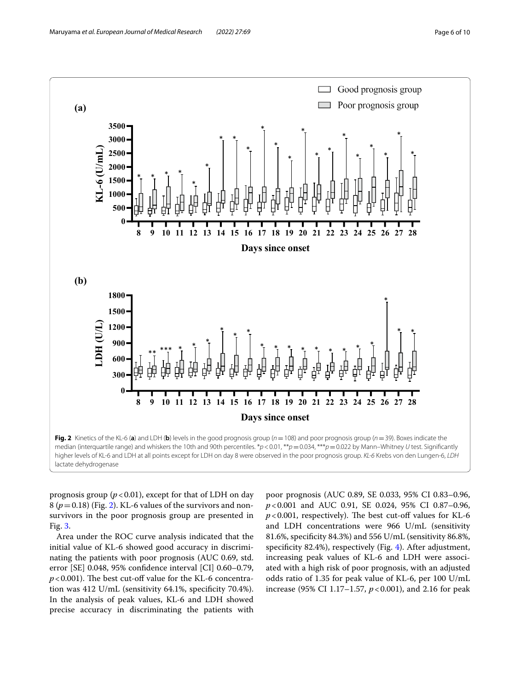

<span id="page-5-0"></span>prognosis group  $(p < 0.01)$ , except for that of LDH on day  $8 (p=0.18)$  (Fig. [2\)](#page-5-0). KL-6 values of the survivors and nonsurvivors in the poor prognosis group are presented in Fig. [3.](#page-6-0)

Area under the ROC curve analysis indicated that the initial value of KL-6 showed good accuracy in discriminating the patients with poor prognosis (AUC 0.69, std. error [SE] 0.048, 95% confdence interval [CI] 0.60–0.79,  $p$ <0.001). The best cut-off value for the KL-6 concentration was 412 U/mL (sensitivity 64.1%, specifcity 70.4%). In the analysis of peak values, KL-6 and LDH showed precise accuracy in discriminating the patients with poor prognosis (AUC 0.89, SE 0.033, 95% CI 0.83–0.96, *p*<0.001 and AUC 0.91, SE 0.024, 95% CI 0.87–0.96,  $p$ <0.001, respectively). The best cut-off values for KL-6 and LDH concentrations were 966 U/mL (sensitivity 81.6%, specifcity 84.3%) and 556 U/mL (sensitivity 86.8%, specifcity 82.4%), respectively (Fig. [4\)](#page-7-0). After adjustment, increasing peak values of KL-6 and LDH were associated with a high risk of poor prognosis, with an adjusted odds ratio of 1.35 for peak value of KL-6, per 100 U/mL increase (95% CI 1.17–1.57, *p*<0.001), and 2.16 for peak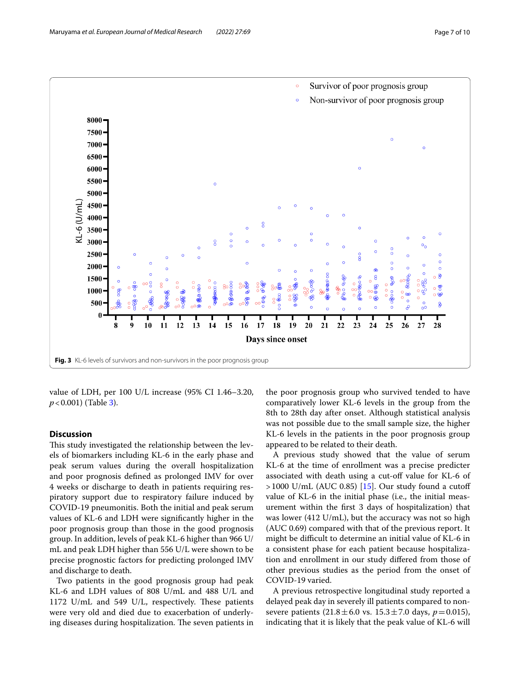

<span id="page-6-0"></span>value of LDH, per 100 U/L increase (95% CI 1.46–3.20, *p*<0.001) (Table [3\)](#page-7-1).

## **Discussion**

This study investigated the relationship between the levels of biomarkers including KL-6 in the early phase and peak serum values during the overall hospitalization and poor prognosis defned as prolonged IMV for over 4 weeks or discharge to death in patients requiring respiratory support due to respiratory failure induced by COVID-19 pneumonitis. Both the initial and peak serum values of KL-6 and LDH were signifcantly higher in the poor prognosis group than those in the good prognosis group. In addition, levels of peak KL-6 higher than 966 U/ mL and peak LDH higher than 556 U/L were shown to be precise prognostic factors for predicting prolonged IMV and discharge to death.

Two patients in the good prognosis group had peak KL-6 and LDH values of 808 U/mL and 488 U/L and 1172 U/mL and 549 U/L, respectively. These patients were very old and died due to exacerbation of underlying diseases during hospitalization. The seven patients in

the poor prognosis group who survived tended to have comparatively lower KL-6 levels in the group from the 8th to 28th day after onset. Although statistical analysis was not possible due to the small sample size, the higher KL-6 levels in the patients in the poor prognosis group appeared to be related to their death.

A previous study showed that the value of serum KL-6 at the time of enrollment was a precise predicter associated with death using a cut-off value for KL-6 of  $>1000$  U/mL (AUC 0.85) [[15\]](#page-9-9). Our study found a cutoff value of KL-6 in the initial phase (i.e., the initial measurement within the frst 3 days of hospitalization) that was lower (412 U/mL), but the accuracy was not so high (AUC 0.69) compared with that of the previous report. It might be difficult to determine an initial value of KL-6 in a consistent phase for each patient because hospitalization and enrollment in our study difered from those of other previous studies as the period from the onset of COVID-19 varied.

A previous retrospective longitudinal study reported a delayed peak day in severely ill patients compared to nonsevere patients  $(21.8 \pm 6.0 \text{ vs. } 15.3 \pm 7.0 \text{ days}, p = 0.015)$ , indicating that it is likely that the peak value of KL-6 will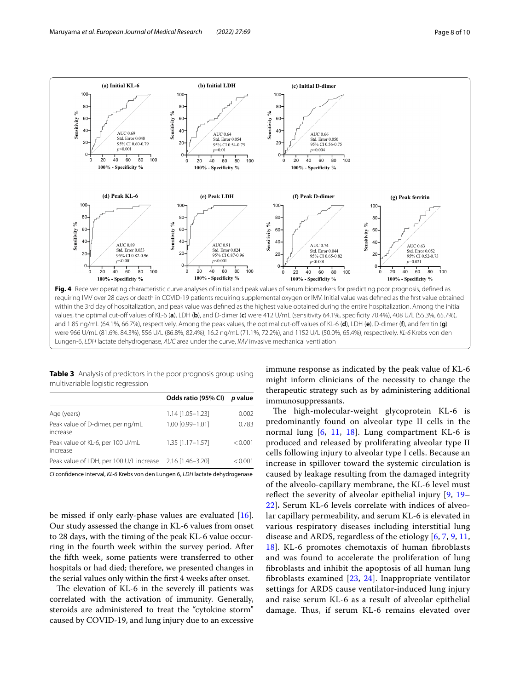

<span id="page-7-0"></span>values, the optimal cut-of values of KL-6 (**a**), LDH (**b**), and D-dimer (**c**) were 412 U/mL (sensitivity 64.1%, specifcity 70.4%), 408 U/L (55.3%, 65.7%), and 1.85 ng/mL (64.1%, 66.7%), respectively. Among the peak values, the optimal cut-of values of KL-6 (**d**), LDH (**e**), D-dimer (**f**), and ferritin (**g**) were 966 U/mL (81.6%, 84.3%), 556 U/L (86.8%, 82.4%), 16.2 ng/mL (71.1%, 72.2%), and 1152 U/L (50.0%, 65.4%), respectively. *KL-6* Krebs von den Lungen-6, *LDH* lactate dehydrogenase, *AUC* area under the curve, *IMV* invasive mechanical ventilation

<span id="page-7-1"></span>**Table 3** Analysis of predictors in the poor prognosis group using multivariable logistic regression

|                                                          | Odds ratio (95% CI) | <i>p</i> value |
|----------------------------------------------------------|---------------------|----------------|
| Age (years)                                              | $1.14$ [1.05-1.23]  | 0.002          |
| Peak value of D-dimer, per ng/mL<br>increase             | 1.00 [0.99-1.01]    | 0.783          |
| Peak value of KL-6, per 100 U/mL<br>increase             | $1.35$ [1.17-1.57]  | < 0.001        |
| Peak value of LDH, per 100 U/L increase 2.16 [1.46-3.20] |                     | < 0.001        |

*CI* confdence interval, *KL-6* Krebs von den Lungen 6, *LDH* lactate dehydrogenase

be missed if only early-phase values are evaluated [\[16](#page-9-7)]. Our study assessed the change in KL-6 values from onset to 28 days, with the timing of the peak KL-6 value occurring in the fourth week within the survey period. After the ffth week, some patients were transferred to other hospitals or had died; therefore, we presented changes in the serial values only within the frst 4 weeks after onset.

The elevation of KL-6 in the severely ill patients was correlated with the activation of immunity. Generally, steroids are administered to treat the "cytokine storm" caused by COVID-19, and lung injury due to an excessive immune response as indicated by the peak value of KL-6 might inform clinicians of the necessity to change the therapeutic strategy such as by administering additional immunosuppressants.

The high-molecular-weight glycoprotein KL-6 is predominantly found on alveolar type II cells in the normal lung [[6,](#page-9-1) [11](#page-9-10), [18\]](#page-9-11). Lung compartment KL-6 is produced and released by proliferating alveolar type II cells following injury to alveolar type I cells. Because an increase in spillover toward the systemic circulation is caused by leakage resulting from the damaged integrity of the alveolo-capillary membrane, the KL-6 level must reflect the severity of alveolar epithelial injury [[9,](#page-9-3) [19–](#page-9-12) [22\]](#page-9-13)**.** Serum KL-6 levels correlate with indices of alveolar capillary permeability, and serum KL-6 is elevated in various respiratory diseases including interstitial lung disease and ARDS, regardless of the etiology [[6,](#page-9-1) [7,](#page-9-2) [9,](#page-9-3) [11](#page-9-10), [18\]](#page-9-11). KL-6 promotes chemotaxis of human fbroblasts and was found to accelerate the proliferation of lung fbroblasts and inhibit the apoptosis of all human lung fbroblasts examined [\[23,](#page-9-14) [24\]](#page-9-15). Inappropriate ventilator settings for ARDS cause ventilator-induced lung injury and raise serum KL-6 as a result of alveolar epithelial damage. Thus, if serum KL-6 remains elevated over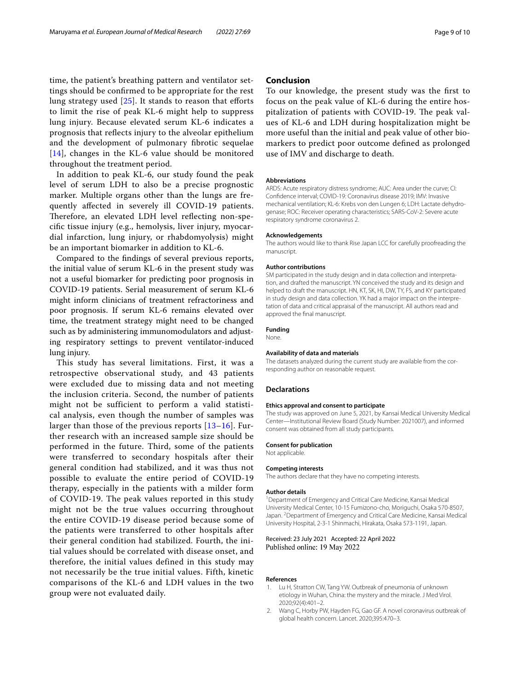time, the patient's breathing pattern and ventilator settings should be confrmed to be appropriate for the rest lung strategy used  $[25]$  $[25]$ . It stands to reason that efforts to limit the rise of peak KL-6 might help to suppress lung injury. Because elevated serum KL-6 indicates a prognosis that refects injury to the alveolar epithelium and the development of pulmonary fbrotic sequelae [[14](#page-9-17)], changes in the KL-6 value should be monitored throughout the treatment period.

In addition to peak KL-6, our study found the peak level of serum LDH to also be a precise prognostic marker. Multiple organs other than the lungs are frequently afected in severely ill COVID-19 patients. Therefore, an elevated LDH level reflecting non-specifc tissue injury (e.g., hemolysis, liver injury, myocardial infarction, lung injury, or rhabdomyolysis) might be an important biomarker in addition to KL-6.

Compared to the fndings of several previous reports, the initial value of serum KL-6 in the present study was not a useful biomarker for predicting poor prognosis in COVID-19 patients. Serial measurement of serum KL-6 might inform clinicians of treatment refractoriness and poor prognosis. If serum KL-6 remains elevated over time, the treatment strategy might need to be changed such as by administering immunomodulators and adjusting respiratory settings to prevent ventilator-induced lung injury.

This study has several limitations. First, it was a retrospective observational study, and 43 patients were excluded due to missing data and not meeting the inclusion criteria. Second, the number of patients might not be sufficient to perform a valid statistical analysis, even though the number of samples was larger than those of the previous reports [\[13–](#page-9-6)[16\]](#page-9-7). Further research with an increased sample size should be performed in the future. Third, some of the patients were transferred to secondary hospitals after their general condition had stabilized, and it was thus not possible to evaluate the entire period of COVID-19 therapy, especially in the patients with a milder form of COVID-19. The peak values reported in this study might not be the true values occurring throughout the entire COVID-19 disease period because some of the patients were transferred to other hospitals after their general condition had stabilized. Fourth, the initial values should be correlated with disease onset, and therefore, the initial values defined in this study may not necessarily be the true initial values. Fifth, kinetic comparisons of the KL-6 and LDH values in the two group were not evaluated daily.

# **Conclusion**

To our knowledge, the present study was the frst to focus on the peak value of KL-6 during the entire hospitalization of patients with COVID-19. The peak values of KL-6 and LDH during hospitalization might be more useful than the initial and peak value of other biomarkers to predict poor outcome defned as prolonged use of IMV and discharge to death.

#### **Abbreviations**

ARDS: Acute respiratory distress syndrome; AUC: Area under the curve; CI: Confdence interval; COVID-19: Coronavirus disease 2019; IMV: Invasive mechanical ventilation; KL-6: Krebs von den Lungen 6; LDH: Lactate dehydrogenase; ROC: Receiver operating characteristics; SARS-CoV-2: Severe acute respiratory syndrome coronavirus 2.

#### **Acknowledgements**

The authors would like to thank Rise Japan LCC for carefully proofreading the manuscript.

#### **Author contributions**

SM participated in the study design and in data collection and interpretation, and drafted the manuscript. YN conceived the study and its design and helped to draft the manuscript. HN, KT, SK, HI, DW, TY, FS, and KY participated in study design and data collection. YK had a major impact on the interpretation of data and critical appraisal of the manuscript. All authors read and approved the fnal manuscript.

#### **Funding**

None.

#### **Availability of data and materials**

The datasets analyzed during the current study are available from the corresponding author on reasonable request.

#### **Declarations**

#### **Ethics approval and consent to participate**

The study was approved on June 5, 2021, by Kansai Medical University Medical Center—Institutional Review Board (Study Number: 2021007), and informed consent was obtained from all study participants.

#### **Consent for publication**

Not applicable.

#### **Competing interests**

The authors declare that they have no competing interests.

#### **Author details**

<sup>1</sup> Department of Emergency and Critical Care Medicine, Kansai Medical University Medical Center, 10-15 Fumizono-cho, Moriguchi, Osaka 570-8507, Japan. <sup>2</sup> Department of Emergency and Critical Care Medicine, Kansai Medical University Hospital, 2-3-1 Shinmachi, Hirakata, Osaka 573-1191, Japan.

#### Received: 23 July 2021 Accepted: 22 April 2022 Published online: 19 May 2022

#### **References**

- <span id="page-8-0"></span>1. Lu H, Stratton CW, Tang YW. Outbreak of pneumonia of unknown etiology in Wuhan, China: the mystery and the miracle. J Med Virol. 2020;92(4):401–2.
- 2. Wang C, Horby PW, Hayden FG, Gao GF. A novel coronavirus outbreak of global health concern. Lancet. 2020;395:470–3.